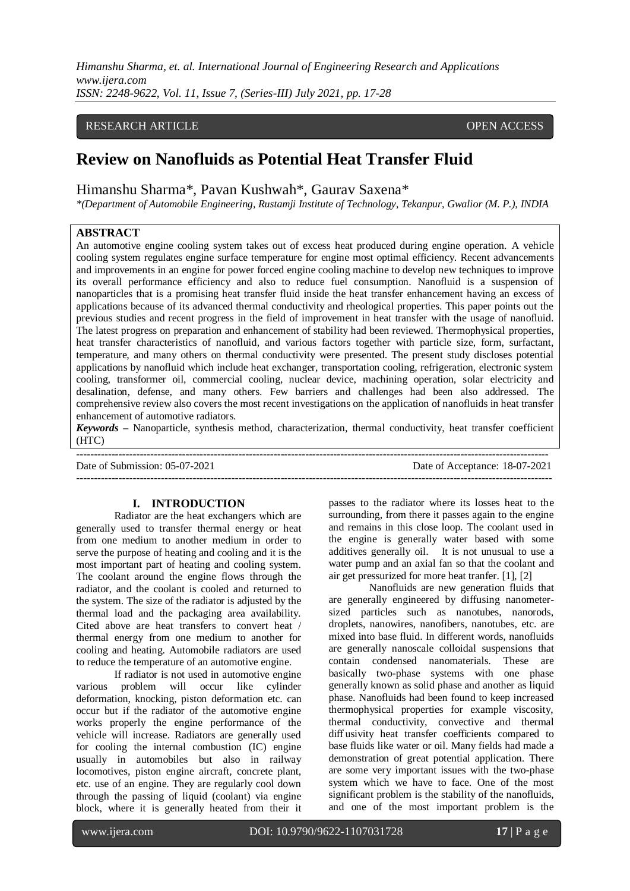*Himanshu Sharma, et. al. International Journal of Engineering Research and Applications www.ijera.com ISSN: 2248-9622, Vol. 11, Issue 7, (Series-III) July 2021, pp. 17-28*

## RESEARCH ARTICLE **CONSERVERS** OPEN ACCESS

# **Review on Nanofluids as Potential Heat Transfer Fluid**

Himanshu Sharma\*, Pavan Kushwah\*, Gaurav Saxena\*

*\*(Department of Automobile Engineering, Rustamji Institute of Technology, Tekanpur, Gwalior (M. P.), INDIA*

## **ABSTRACT**

An automotive engine cooling system takes out of excess heat produced during engine operation. A vehicle cooling system regulates engine surface temperature for engine most optimal efficiency. Recent advancements and improvements in an engine for power forced engine cooling machine to develop new techniques to improve its overall performance efficiency and also to reduce fuel consumption. Nanofluid is a suspension of nanoparticles that is a promising heat transfer fluid inside the heat transfer enhancement having an excess of applications because of its advanced thermal conductivity and rheological properties. This paper points out the previous studies and recent progress in the field of improvement in heat transfer with the usage of nanofluid. The latest progress on preparation and enhancement of stability had been reviewed. Thermophysical properties, heat transfer characteristics of nanofluid, and various factors together with particle size, form, surfactant, temperature, and many others on thermal conductivity were presented. The present study discloses potential applications by nanofluid which include heat exchanger, transportation cooling, refrigeration, electronic system cooling, transformer oil, commercial cooling, nuclear device, machining operation, solar electricity and desalination, defense, and many others. Few barriers and challenges had been also addressed. The comprehensive review also covers the most recent investigations on the application of nanofluids in heat transfer enhancement of automotive radiators.

*Keywords –* Nanoparticle, synthesis method, characterization, thermal conductivity, heat transfer coefficient (HTC)

-------------------------------------------------------------------------------------------------------------------------------------- Date of Submission: 05-07-2021 Date of Acceptance: 18-07-2021 ---------------------------------------------------------------------------------------------------------------------------------------

#### **I. INTRODUCTION**

Radiator are the heat exchangers which are generally used to transfer thermal energy or heat from one medium to another medium in order to serve the purpose of heating and cooling and it is the most important part of heating and cooling system. The coolant around the engine flows through the radiator, and the coolant is cooled and returned to the system. The size of the radiator is adjusted by the thermal load and the packaging area availability. Cited above are heat transfers to convert heat / thermal energy from one medium to another for cooling and heating. Automobile radiators are used to reduce the temperature of an automotive engine.

If radiator is not used in automotive engine various problem will occur like cylinder deformation, knocking, piston deformation etc. can occur but if the radiator of the automotive engine works properly the engine performance of the vehicle will increase. Radiators are generally used for cooling the internal combustion (IC) engine usually in automobiles but also in railway locomotives, piston engine aircraft, concrete plant, etc. use of an engine. They are regularly cool down through the passing of liquid (coolant) via engine block, where it is generally heated from their it

passes to the radiator where its losses heat to the surrounding, from there it passes again to the engine and remains in this close loop. The coolant used in the engine is generally water based with some additives generally oil. It is not unusual to use a water pump and an axial fan so that the coolant and air get pressurized for more heat tranfer. [1], [2]

Nanofluids are new generation fluids that are generally engineered by diffusing nanometersized particles such as nanotubes, nanorods, droplets, nanowires, nanofibers, nanotubes, etc. are mixed into base fluid. In different words, nanofluids are generally nanoscale colloidal suspensions that contain condensed nanomaterials. These are basically two-phase systems with one phase generally known as solid phase and another as liquid phase. Nanofluids had been found to keep increased thermophysical properties for example viscosity, thermal conductivity, convective and thermal diff usivity heat transfer coefficients compared to base fluids like water or oil. Many fields had made a demonstration of great potential application. There are some very important issues with the two-phase system which we have to face. One of the most significant problem is the stability of the nanofluids, and one of the most important problem is the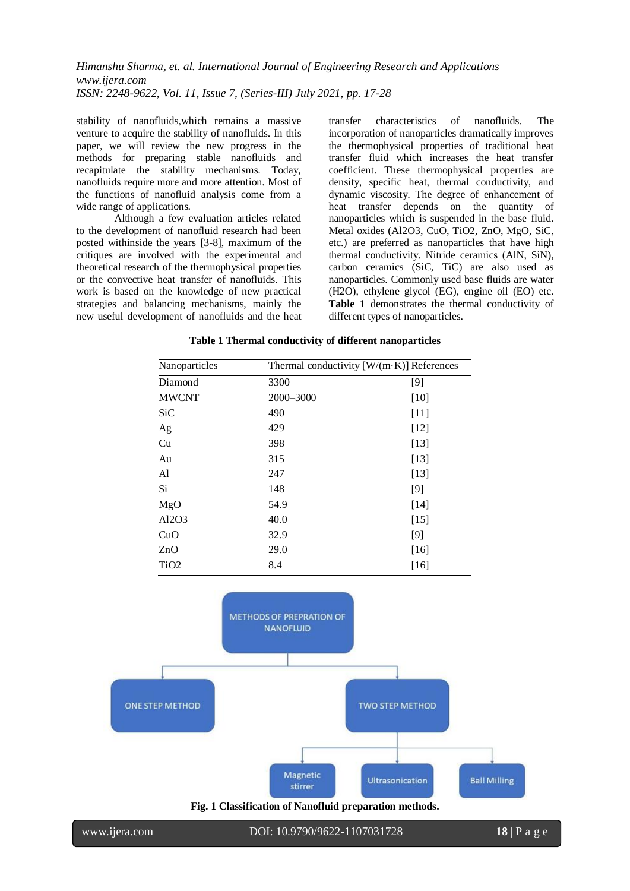stability of nanofluids,which remains a massive venture to acquire the stability of nanofluids. In this paper, we will review the new progress in the methods for preparing stable nanofluids and recapitulate the stability mechanisms. Today, nanofluids require more and more attention. Most of the functions of nanofluid analysis come from a wide range of applications.

Although a few evaluation articles related to the development of nanofluid research had been posted withinside the years [3-8], maximum of the critiques are involved with the experimental and theoretical research of the thermophysical properties or the convective heat transfer of nanofluids. This work is based on the knowledge of new practical strategies and balancing mechanisms, mainly the new useful development of nanofluids and the heat transfer characteristics of nanofluids. The incorporation of nanoparticles dramatically improves the thermophysical properties of traditional heat transfer fluid which increases the heat transfer coefficient. These thermophysical properties are density, specific heat, thermal conductivity, and dynamic viscosity. The degree of enhancement of heat transfer depends on the quantity of nanoparticles which is suspended in the base fluid. Metal oxides (Al2O3, CuO, TiO2, ZnO, MgO, SiC, etc.) are preferred as nanoparticles that have high thermal conductivity. Nitride ceramics (AlN, SiN), carbon ceramics (SiC, TiC) are also used as nanoparticles. Commonly used base fluids are water (H2O), ethylene glycol (EG), engine oil (EO) etc. **Table 1** demonstrates the thermal conductivity of different types of nanoparticles.

| Table 1 Thermal conductivity of different nanoparticles |  |
|---------------------------------------------------------|--|
|---------------------------------------------------------|--|

| Nanoparticles    | Thermal conductivity $[W/(m \cdot K)]$ References |        |  |  |
|------------------|---------------------------------------------------|--------|--|--|
| Diamond          | 3300                                              | [9]    |  |  |
| <b>MWCNT</b>     | 2000-3000                                         | $[10]$ |  |  |
| SiC              | 490                                               | $[11]$ |  |  |
| Ag               | 429                                               | $[12]$ |  |  |
| Cu               | 398                                               | $[13]$ |  |  |
| Au               | 315                                               | $[13]$ |  |  |
| Al               | 247                                               | $[13]$ |  |  |
| Si               | 148                                               | [9]    |  |  |
| MgO              | 54.9                                              | $[14]$ |  |  |
| Al2O3            | 40.0                                              | $[15]$ |  |  |
| CuO              | 32.9                                              | $[9]$  |  |  |
| ZnO              | 29.0                                              | $[16]$ |  |  |
| TiO <sub>2</sub> | 8.4                                               | $[16]$ |  |  |

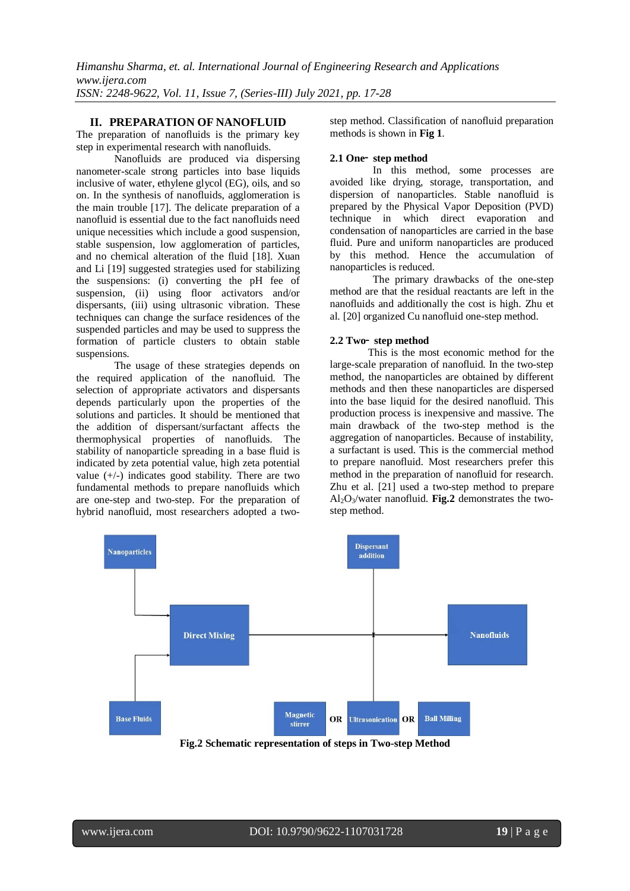#### **II. PREPARATION OF NANOFLUID**

The preparation of nanofluids is the primary key step in experimental research with nanofluids.

Nanofluids are produced via dispersing nanometer-scale strong particles into base liquids inclusive of water, ethylene glycol (EG), oils, and so on. In the synthesis of nanofluids, agglomeration is the main trouble [17]. The delicate preparation of a nanofluid is essential due to the fact nanofluids need unique necessities which include a good suspension, stable suspension, low agglomeration of particles, and no chemical alteration of the fluid [18]. Xuan and Li [19] suggested strategies used for stabilizing the suspensions: (i) converting the pH fee of suspension, (ii) using floor activators and/or dispersants, (iii) using ultrasonic vibration. These techniques can change the surface residences of the suspended particles and may be used to suppress the formation of particle clusters to obtain stable suspensions.

The usage of these strategies depends on the required application of the nanofluid. The selection of appropriate activators and dispersants depends particularly upon the properties of the solutions and particles. It should be mentioned that the addition of dispersant/surfactant affects the thermophysical properties of nanofluids. The stability of nanoparticle spreading in a base fluid is indicated by zeta potential value, high zeta potential value  $(+/-)$  indicates good stability. There are two fundamental methods to prepare nanofluids which are one-step and two-step. For the preparation of hybrid nanofluid, most researchers adopted a twostep method. Classification of nanofluid preparation methods is shown in **Fig 1**.

#### **2.1 One**‑ **step method**

In this method, some processes are avoided like drying, storage, transportation, and dispersion of nanoparticles. Stable nanofluid is prepared by the Physical Vapor Deposition (PVD) technique in which direct evaporation and condensation of nanoparticles are carried in the base fluid. Pure and uniform nanoparticles are produced by this method. Hence the accumulation of nanoparticles is reduced.

The primary drawbacks of the one-step method are that the residual reactants are left in the nanofluids and additionally the cost is high. Zhu et al. [20] organized Cu nanofluid one-step method.

#### **2.2 Two**‑ **step method**

This is the most economic method for the large-scale preparation of nanofluid. In the two-step method, the nanoparticles are obtained by different methods and then these nanoparticles are dispersed into the base liquid for the desired nanofluid. This production process is inexpensive and massive. The main drawback of the two-step method is the aggregation of nanoparticles. Because of instability, a surfactant is used. This is the commercial method to prepare nanofluid. Most researchers prefer this method in the preparation of nanofluid for research. Zhu et al. [21] used a two-step method to prepare Al<sub>2</sub>O<sub>3</sub>/water nanofluid. **Fig.2** demonstrates the twostep method.



**Fig.2 Schematic representation of steps in Two-step Method**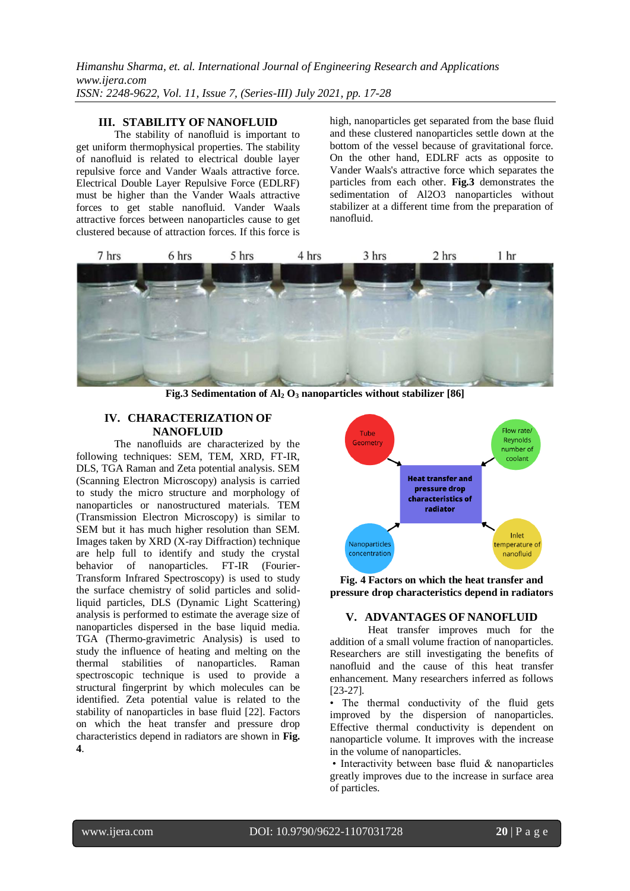*Himanshu Sharma, et. al. International Journal of Engineering Research and Applications www.ijera.com ISSN: 2248-9622, Vol. 11, Issue 7, (Series-III) July 2021, pp. 17-28*

#### **III. STABILITY OF NANOFLUID**

The stability of nanofluid is important to get uniform thermophysical properties. The stability of nanofluid is related to electrical double layer repulsive force and Vander Waals attractive force. Electrical Double Layer Repulsive Force (EDLRF) must be higher than the Vander Waals attractive forces to get stable nanofluid. Vander Waals attractive forces between nanoparticles cause to get clustered because of attraction forces. If this force is high, nanoparticles get separated from the base fluid and these clustered nanoparticles settle down at the bottom of the vessel because of gravitational force. On the other hand, EDLRF acts as opposite to Vander Waals's attractive force which separates the particles from each other. **Fig.3** demonstrates the sedimentation of Al2O3 nanoparticles without stabilizer at a different time from the preparation of nanofluid.



**Fig.3 Sedimentation of Al<sup>2</sup> O<sup>3</sup> nanoparticles without stabilizer [86]**

#### **IV. CHARACTERIZATION OF NANOFLUID**

The nanofluids are characterized by the following techniques: SEM, TEM, XRD, FT-IR, DLS, TGA Raman and Zeta potential analysis. SEM (Scanning Electron Microscopy) analysis is carried to study the micro structure and morphology of nanoparticles or nanostructured materials. TEM (Transmission Electron Microscopy) is similar to SEM but it has much higher resolution than SEM. Images taken by XRD (X-ray Diffraction) technique are help full to identify and study the crystal behavior of nanoparticles. FT-IR (Fourier-Transform Infrared Spectroscopy) is used to study the surface chemistry of solid particles and solidliquid particles, DLS (Dynamic Light Scattering) analysis is performed to estimate the average size of nanoparticles dispersed in the base liquid media. TGA (Thermo-gravimetric Analysis) is used to study the influence of heating and melting on the thermal stabilities of nanoparticles. Raman spectroscopic technique is used to provide a structural fingerprint by which molecules can be identified. Zeta potential value is related to the stability of nanoparticles in base fluid [22]. Factors on which the heat transfer and pressure drop characteristics depend in radiators are shown in **Fig. 4**.



**Fig. 4 Factors on which the heat transfer and pressure drop characteristics depend in radiators**

#### **V. ADVANTAGES OF NANOFLUID**

Heat transfer improves much for the addition of a small volume fraction of nanoparticles. Researchers are still investigating the benefits of nanofluid and the cause of this heat transfer enhancement. Many researchers inferred as follows [23-27].

• The thermal conductivity of the fluid gets improved by the dispersion of nanoparticles. Effective thermal conductivity is dependent on nanoparticle volume. It improves with the increase in the volume of nanoparticles.

• Interactivity between base fluid & nanoparticles greatly improves due to the increase in surface area of particles.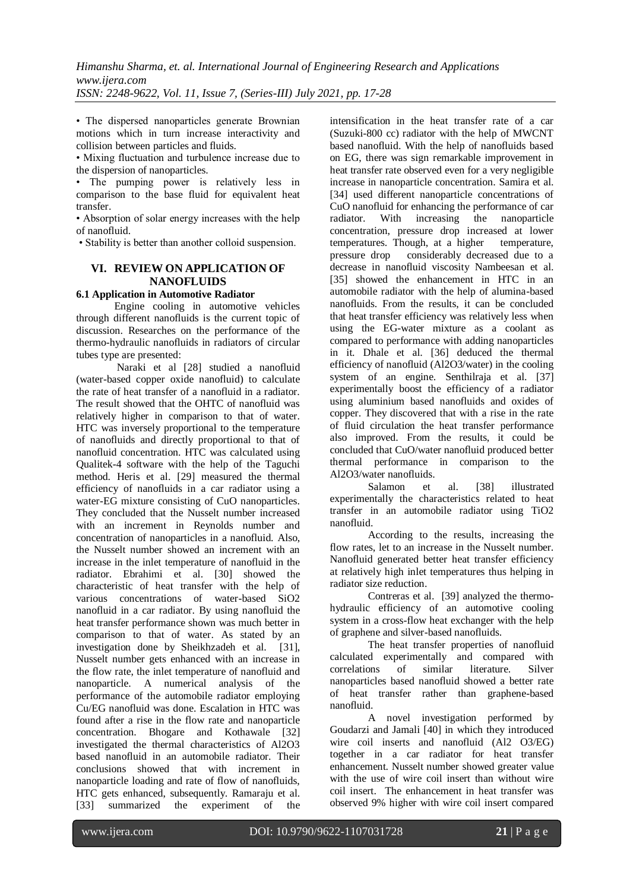• The dispersed nanoparticles generate Brownian motions which in turn increase interactivity and collision between particles and fluids.

• Mixing fluctuation and turbulence increase due to the dispersion of nanoparticles.

• The pumping power is relatively less in comparison to the base fluid for equivalent heat transfer.

• Absorption of solar energy increases with the help of nanofluid.

• Stability is better than another colloid suspension.

## **VI. REVIEW ON APPLICATION OF NANOFLUIDS**

#### **6.1 Application in Automotive Radiator**

Engine cooling in automotive vehicles through different nanofluids is the current topic of discussion. Researches on the performance of the thermo-hydraulic nanofluids in radiators of circular tubes type are presented:

Naraki et al [28] studied a nanofluid (water-based copper oxide nanofluid) to calculate the rate of heat transfer of a nanofluid in a radiator. The result showed that the OHTC of nanofluid was relatively higher in comparison to that of water. HTC was inversely proportional to the temperature of nanofluids and directly proportional to that of nanofluid concentration. HTC was calculated using Qualitek-4 software with the help of the Taguchi method. Heris et al. [29] measured the thermal efficiency of nanofluids in a car radiator using a water-EG mixture consisting of CuO nanoparticles. They concluded that the Nusselt number increased with an increment in Reynolds number and concentration of nanoparticles in a nanofluid. Also, the Nusselt number showed an increment with an increase in the inlet temperature of nanofluid in the radiator. Ebrahimi et al. [30] showed the characteristic of heat transfer with the help of various concentrations of water-based SiO2 nanofluid in a car radiator. By using nanofluid the heat transfer performance shown was much better in comparison to that of water. As stated by an investigation done by Sheikhzadeh et al. [31], Nusselt number gets enhanced with an increase in the flow rate, the inlet temperature of nanofluid and nanoparticle. A numerical analysis of the performance of the automobile radiator employing Cu/EG nanofluid was done. Escalation in HTC was found after a rise in the flow rate and nanoparticle concentration. Bhogare and Kothawale [32] investigated the thermal characteristics of Al2O3 based nanofluid in an automobile radiator. Their conclusions showed that with increment in nanoparticle loading and rate of flow of nanofluids, HTC gets enhanced, subsequently. Ramaraju et al. [33] summarized the experiment of the

intensification in the heat transfer rate of a car (Suzuki-800 cc) radiator with the help of MWCNT based nanofluid. With the help of nanofluids based on EG, there was sign remarkable improvement in heat transfer rate observed even for a very negligible increase in nanoparticle concentration. Samira et al. [34] used different nanoparticle concentrations of CuO nanofluid for enhancing the performance of car radiator. With increasing the nanoparticle concentration, pressure drop increased at lower temperatures. Though, at a higher temperature, pressure drop considerably decreased due to a decrease in nanofluid viscosity Nambeesan et al. [35] showed the enhancement in HTC in an automobile radiator with the help of alumina-based nanofluids. From the results, it can be concluded that heat transfer efficiency was relatively less when using the EG-water mixture as a coolant as compared to performance with adding nanoparticles in it. Dhale et al. [36] deduced the thermal efficiency of nanofluid (Al2O3/water) in the cooling system of an engine. Senthilraja et al. [37] experimentally boost the efficiency of a radiator using aluminium based nanofluids and oxides of copper. They discovered that with a rise in the rate of fluid circulation the heat transfer performance also improved. From the results, it could be concluded that CuO/water nanofluid produced better thermal performance in comparison to the Al2O3/water nanofluids.

Salamon et al. [38] illustrated experimentally the characteristics related to heat transfer in an automobile radiator using TiO2 nanofluid.

According to the results, increasing the flow rates, let to an increase in the Nusselt number. Nanofluid generated better heat transfer efficiency at relatively high inlet temperatures thus helping in radiator size reduction.

Contreras et al. [39] analyzed the thermohydraulic efficiency of an automotive cooling system in a cross-flow heat exchanger with the help of graphene and silver-based nanofluids.

The heat transfer properties of nanofluid calculated experimentally and compared with correlations of similar literature. Silver nanoparticles based nanofluid showed a better rate of heat transfer rather than graphene-based nanofluid.

A novel investigation performed by Goudarzi and Jamali [40] in which they introduced wire coil inserts and nanofluid (Al2 O3/EG) together in a car radiator for heat transfer enhancement. Nusselt number showed greater value with the use of wire coil insert than without wire coil insert. The enhancement in heat transfer was observed 9% higher with wire coil insert compared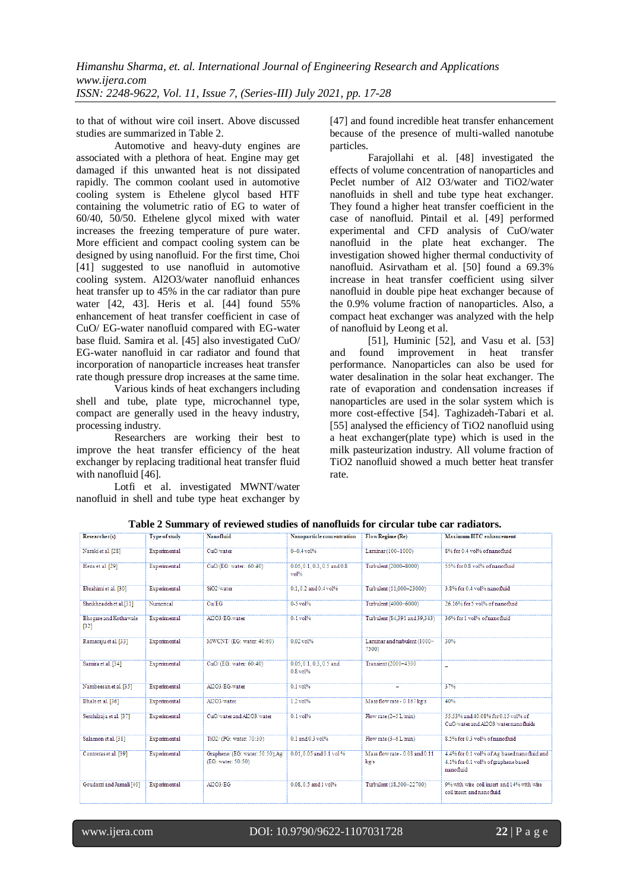to that of without wire coil insert. Above discussed studies are summarized in Table 2.

Automotive and heavy-duty engines are associated with a plethora of heat. Engine may get damaged if this unwanted heat is not dissipated rapidly. The common coolant used in automotive cooling system is Ethelene glycol based HTF containing the volumetric ratio of EG to water of 60/40, 50/50. Ethelene glycol mixed with water increases the freezing temperature of pure water. More efficient and compact cooling system can be designed by using nanofluid. For the first time, Choi [41] suggested to use nanofluid in automotive cooling system. Al2O3/water nanofluid enhances heat transfer up to 45% in the car radiator than pure water [42, 43]. Heris et al. [44] found 55% enhancement of heat transfer coefficient in case of CuO/ EG-water nanofluid compared with EG-water base fluid. Samira et al. [45] also investigated CuO/ EG-water nanofluid in car radiator and found that incorporation of nanoparticle increases heat transfer rate though pressure drop increases at the same time.

Various kinds of heat exchangers including shell and tube, plate type, microchannel type, compact are generally used in the heavy industry, processing industry.

Researchers are working their best to improve the heat transfer efficiency of the heat exchanger by replacing traditional heat transfer fluid with nanofluid [46].

Lotfi et al. investigated MWNT/water nanofluid in shell and tube type heat exchanger by [47] and found incredible heat transfer enhancement because of the presence of multi-walled nanotube particles.

Farajollahi et al. [48] investigated the effects of volume concentration of nanoparticles and Peclet number of Al2 O3/water and TiO2/water nanofluids in shell and tube type heat exchanger. They found a higher heat transfer coefficient in the case of nanofluid. Pintail et al. [49] performed experimental and CFD analysis of CuO/water nanofluid in the plate heat exchanger. The investigation showed higher thermal conductivity of nanofluid. Asirvatham et al. [50] found a 69.3% increase in heat transfer coefficient using silver nanofluid in double pipe heat exchanger because of the 0.9% volume fraction of nanoparticles. Also, a compact heat exchanger was analyzed with the help of nanofluid by Leong et al.

[51], Huminic [52], and Vasu et al. [53] and found improvement in heat transfer performance. Nanoparticles can also be used for water desalination in the solar heat exchanger. The rate of evaporation and condensation increases if nanoparticles are used in the solar system which is more cost-effective [54]. Taghizadeh-Tabari et al. [55] analysed the efficiency of TiO2 nanofluid using a heat exchanger(plate type) which is used in the milk pasteurization industry. All volume fraction of TiO2 nanofluid showed a much better heat transfer rate.

| Table 2 Summary of reviewed studies of nanofluids for circular tube car radiators. |  |  |  |  |  |  |
|------------------------------------------------------------------------------------|--|--|--|--|--|--|
|------------------------------------------------------------------------------------|--|--|--|--|--|--|

|                                        |                      | rabic 2 banniary or reviewed stadies or nanomalies for en eagar tabe ear radiators. |                                            |                                        |                                                                                                 |
|----------------------------------------|----------------------|-------------------------------------------------------------------------------------|--------------------------------------------|----------------------------------------|-------------------------------------------------------------------------------------------------|
| Researcher(s)                          | <b>Type of study</b> | Nanofluid                                                                           | Nanoparticle concentration                 | Flow Regime (Re)                       | <b>Maximum HTC</b> enhancement                                                                  |
| Naraki et al. [28]                     | Experimental         | CuO/water                                                                           | $0 - 0.4$ vol%                             | Laminar (100-1000)                     | 8% for 0.4 vol% of nanofluid                                                                    |
| Heris et al. [29]                      | Experimental         | CuO/(EG: water:: 60:40)                                                             | $0.05, 0.1, 0.3, 0.5$ and $0.8$<br>vol%    | Turbulent (2000-8000)                  | 55% for 0.8 vol% of nanofluid                                                                   |
| Ebrahimi et al. [30]                   | Experimental         | SiO <sub>2</sub> /water                                                             | 0.1.0.2 and 0.4 vol%                       | Turbulent (11,000-23000)               | 3.8% for 0.4 vol% nanofluid                                                                     |
| Sheikhzadeh et al.[31]                 | Numerical            | Cu/EG                                                                               | $0 - 5$ vol $%$                            | Turbulent (4000-6000)                  | 26.16% for 5 vol% of nanofluid                                                                  |
| <b>Bhogare and Kothawale</b><br>$[32]$ | Experimental         | Al2O3/EG-water                                                                      | $0 - 1$ $vol%$                             | Turbulent (84,391 and 39,343)          | 36% for 1 yol% of nanofluid                                                                     |
| Ramaraju et al. [33]                   | Experimental         | MWCNT/(EG: water: 40:60)                                                            | $0.02$ vol%                                | Laminar and turbulent (1000-<br>7500)  | 30%                                                                                             |
| Samira et al. [34]                     | Experimental         | CuO/(EG: water: 60:40)                                                              | $0.05, 0.1, 0.3, 0.5$ and<br>$0.8$ vol $%$ | Transient (2000-4300                   |                                                                                                 |
| Nambeesan et al. [35]                  | Experimental         | Al2O3/EG-water                                                                      | $0.1$ vol%                                 |                                        | 37%                                                                                             |
| Dhale et al. [36]                      | Experimental         | Al2O3/water                                                                         | $1.2$ vol $%$                              | Mass flow rate - 0.167 kg/s            | 40%                                                                                             |
| Senthilraja et al. [37]                | Experimental         | CuO/water and Al2O3/water                                                           | $0-1$ vol $%$                              | Flow rate $(2-5 L/min)$                | 55.53% and 40.08% for 0.15 vol% of<br>CuO/water and Al2O3/water nanofluids                      |
| Salamon et al. [38]                    | Experimental         | TiO2/(PG: water: 70:30)                                                             | $0.1$ and $0.3$ vol%                       | Flow rate $(3-6 L/min)$                | 8.5% for 0.3 vol% of nanofluid                                                                  |
| Contreras et al. [39]                  | Experimental         | Graphene/(EG: water: 50:50);Ag/<br>(EG: water: 50:50)                               | 0.01.0.05 and 0.1 vol %                    | Mass flow rate - 0.08 and 0.11<br>kg/s | 4.4% for 0.1 vol% of Ag based nanofluid and<br>4.1% for 0.1 vol% of graphene based<br>nanofhiid |
| Goudarzi and Jamali [40]               | Experimental         | AI2O3/EG                                                                            | 0.08.0.5 and 1 vol%                        | Turbulent (18.500-22700)               | 9% with wire coil insert and 14% with wire<br>coil insert and nanofluid                         |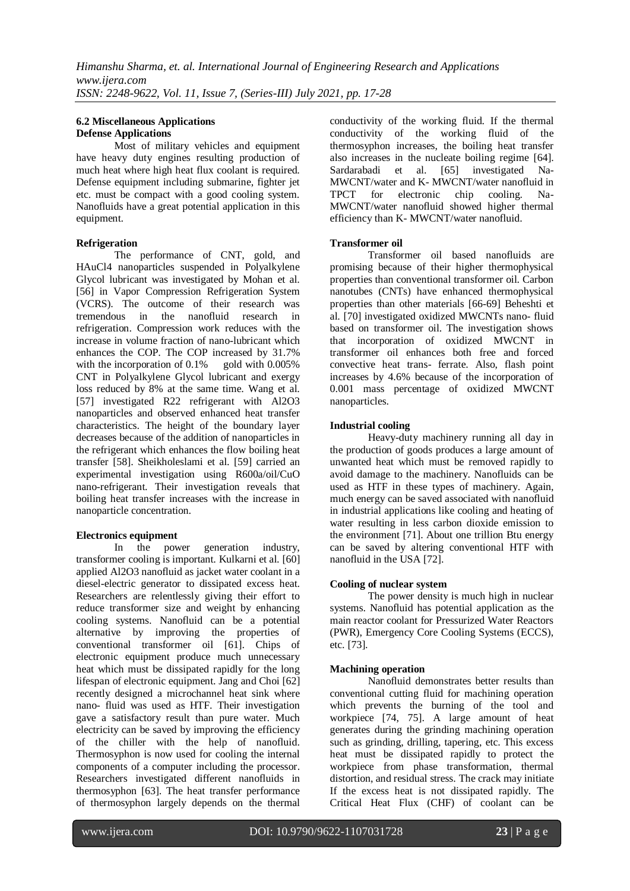#### **6.2 Miscellaneous Applications Defense Applications**

Most of military vehicles and equipment have heavy duty engines resulting production of much heat where high heat flux coolant is required. Defense equipment including submarine, fighter jet etc. must be compact with a good cooling system. Nanofluids have a great potential application in this equipment.

## **Refrigeration**

The performance of CNT, gold, and HAuCl4 nanoparticles suspended in Polyalkylene Glycol lubricant was investigated by Mohan et al. [56] in Vapor Compression Refrigeration System (VCRS). The outcome of their research was tremendous in the nanofluid research in the nanofluid research in refrigeration. Compression work reduces with the increase in volume fraction of nano-lubricant which enhances the COP. The COP increased by  $31.7\%$ <br>with the incorporation of 0.1% gold with 0.005% with the incorporation of  $0.1\%$ CNT in Polyalkylene Glycol lubricant and exergy loss reduced by 8% at the same time. Wang et al. [57] investigated R22 refrigerant with Al2O3 nanoparticles and observed enhanced heat transfer characteristics. The height of the boundary layer decreases because of the addition of nanoparticles in the refrigerant which enhances the flow boiling heat transfer [58]. Sheikholeslami et al. [59] carried an experimental investigation using R600a/oil/CuO nano-refrigerant. Their investigation reveals that boiling heat transfer increases with the increase in nanoparticle concentration.

## **Electronics equipment**

In the power generation industry, transformer cooling is important. Kulkarni et al. [60] applied Al2O3 nanofluid as jacket water coolant in a diesel-electric generator to dissipated excess heat. Researchers are relentlessly giving their effort to reduce transformer size and weight by enhancing cooling systems. Nanofluid can be a potential alternative by improving the properties of conventional transformer oil [61]. Chips of electronic equipment produce much unnecessary heat which must be dissipated rapidly for the long lifespan of electronic equipment. Jang and Choi [62] recently designed a microchannel heat sink where nano- fluid was used as HTF. Their investigation gave a satisfactory result than pure water. Much electricity can be saved by improving the efficiency of the chiller with the help of nanofluid. Thermosyphon is now used for cooling the internal components of a computer including the processor. Researchers investigated different nanofluids in thermosyphon [63]. The heat transfer performance of thermosyphon largely depends on the thermal

conductivity of the working fluid. If the thermal conductivity of the working fluid of the thermosyphon increases, the boiling heat transfer also increases in the nucleate boiling regime [64]. Sardarabadi et al. [65] investigated Na-MWCNT/water and K- MWCNT/water nanofluid in TPCT for electronic chip cooling. Na-MWCNT/water nanofluid showed higher thermal efficiency than K- MWCNT/water nanofluid.

## **Transformer oil**

Transformer oil based nanofluids are promising because of their higher thermophysical properties than conventional transformer oil. Carbon nanotubes (CNTs) have enhanced thermophysical properties than other materials [66-69] Beheshti et al. [70] investigated oxidized MWCNTs nano- fluid based on transformer oil. The investigation shows that incorporation of oxidized MWCNT in transformer oil enhances both free and forced convective heat trans- ferrate. Also, flash point increases by 4.6% because of the incorporation of 0.001 mass percentage of oxidized MWCNT nanoparticles.

## **Industrial cooling**

Heavy-duty machinery running all day in the production of goods produces a large amount of unwanted heat which must be removed rapidly to avoid damage to the machinery. Nanofluids can be used as HTF in these types of machinery. Again, much energy can be saved associated with nanofluid in industrial applications like cooling and heating of water resulting in less carbon dioxide emission to the environment [71]. About one trillion Btu energy can be saved by altering conventional HTF with nanofluid in the USA [72].

## **Cooling of nuclear system**

The power density is much high in nuclear systems. Nanofluid has potential application as the main reactor coolant for Pressurized Water Reactors (PWR), Emergency Core Cooling Systems (ECCS), etc. [73].

## **Machining operation**

Nanofluid demonstrates better results than conventional cutting fluid for machining operation which prevents the burning of the tool and workpiece [74, 75]. A large amount of heat generates during the grinding machining operation such as grinding, drilling, tapering, etc. This excess heat must be dissipated rapidly to protect the workpiece from phase transformation, thermal distortion, and residual stress. The crack may initiate If the excess heat is not dissipated rapidly. The Critical Heat Flux (CHF) of coolant can be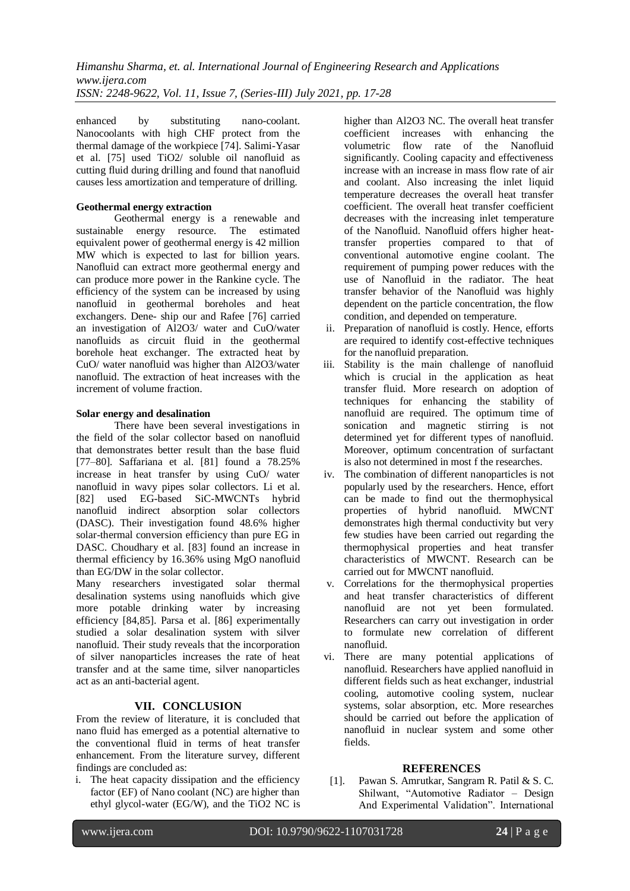enhanced by substituting nano-coolant. Nanocoolants with high CHF protect from the thermal damage of the workpiece [74]. Salimi-Yasar et al. [75] used TiO2/ soluble oil nanofluid as cutting fluid during drilling and found that nanofluid causes less amortization and temperature of drilling.

## **Geothermal energy extraction**

Geothermal energy is a renewable and sustainable energy resource. The estimated equivalent power of geothermal energy is 42 million MW which is expected to last for billion years. Nanofluid can extract more geothermal energy and can produce more power in the Rankine cycle. The efficiency of the system can be increased by using nanofluid in geothermal boreholes and heat exchangers. Dene- ship our and Rafee [76] carried an investigation of Al2O3/ water and CuO/water nanofluids as circuit fluid in the geothermal borehole heat exchanger. The extracted heat by CuO/ water nanofluid was higher than Al2O3/water nanofluid. The extraction of heat increases with the increment of volume fraction.

## **Solar energy and desalination**

There have been several investigations in the field of the solar collector based on nanofluid that demonstrates better result than the base fluid [77–80]. Saffariana et al. [81] found a 78.25% increase in heat transfer by using CuO/ water nanofluid in wavy pipes solar collectors. Li et al. [82] used EG-based SiC-MWCNTs hybrid nanofluid indirect absorption solar collectors (DASC). Their investigation found 48.6% higher solar-thermal conversion efficiency than pure EG in DASC. Choudhary et al. [83] found an increase in thermal efficiency by 16.36% using MgO nanofluid than EG/DW in the solar collector.

Many researchers investigated solar thermal desalination systems using nanofluids which give more potable drinking water by increasing efficiency [84,85]. Parsa et al. [86] experimentally studied a solar desalination system with silver nanofluid. Their study reveals that the incorporation of silver nanoparticles increases the rate of heat transfer and at the same time, silver nanoparticles act as an anti-bacterial agent.

## **VII. CONCLUSION**

From the review of literature, it is concluded that nano fluid has emerged as a potential alternative to the conventional fluid in terms of heat transfer enhancement. From the literature survey, different findings are concluded as:

i. The heat capacity dissipation and the efficiency factor (EF) of Nano coolant (NC) are higher than ethyl glycol-water (EG/W), and the TiO2 NC is higher than Al2O3 NC. The overall heat transfer coefficient increases with enhancing the volumetric flow rate of the Nanofluid significantly. Cooling capacity and effectiveness increase with an increase in mass flow rate of air and coolant. Also increasing the inlet liquid temperature decreases the overall heat transfer coefficient. The overall heat transfer coefficient decreases with the increasing inlet temperature of the Nanofluid. Nanofluid offers higher heattransfer properties compared to that of conventional automotive engine coolant. The requirement of pumping power reduces with the use of Nanofluid in the radiator. The heat transfer behavior of the Nanofluid was highly dependent on the particle concentration, the flow condition, and depended on temperature.

- ii. Preparation of nanofluid is costly. Hence, efforts are required to identify cost-effective techniques for the nanofluid preparation.
- iii. Stability is the main challenge of nanofluid which is crucial in the application as heat transfer fluid. More research on adoption of techniques for enhancing the stability of nanofluid are required. The optimum time of sonication and magnetic stirring is not determined yet for different types of nanofluid. Moreover, optimum concentration of surfactant is also not determined in most f the researches.
- iv. The combination of different nanoparticles is not popularly used by the researchers. Hence, effort can be made to find out the thermophysical properties of hybrid nanofluid. MWCNT demonstrates high thermal conductivity but very few studies have been carried out regarding the thermophysical properties and heat transfer characteristics of MWCNT. Research can be carried out for MWCNT nanofluid.
- v. Correlations for the thermophysical properties and heat transfer characteristics of different nanofluid are not yet been formulated. Researchers can carry out investigation in order to formulate new correlation of different nanofluid.
- vi. There are many potential applications of nanofluid. Researchers have applied nanofluid in different fields such as heat exchanger, industrial cooling, automotive cooling system, nuclear systems, solar absorption, etc. More researches should be carried out before the application of nanofluid in nuclear system and some other fields.

#### **REFERENCES**

[1]. Pawan S. Amrutkar, Sangram R. Patil & S. C. Shilwant, "Automotive Radiator – Design And Experimental Validation". International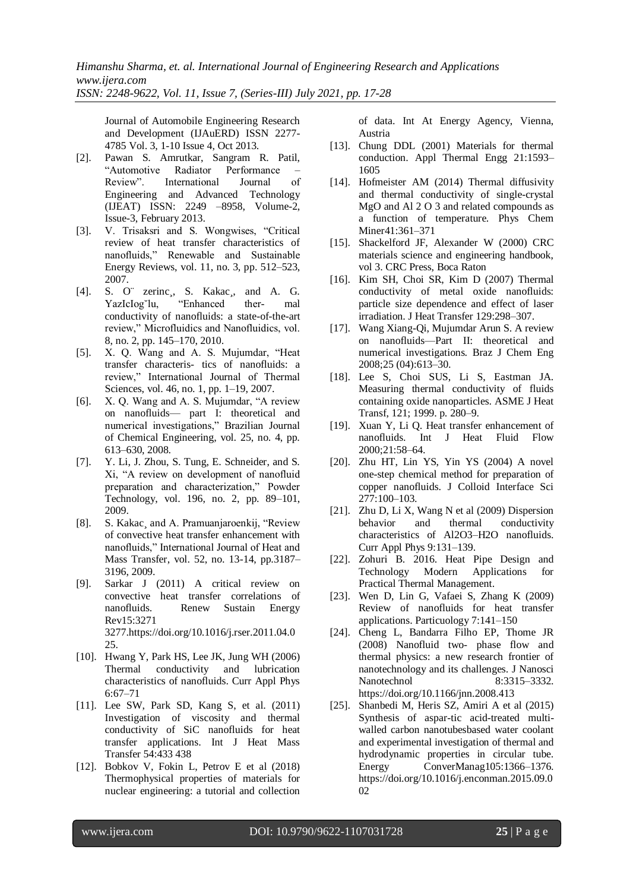*Himanshu Sharma, et. al. International Journal of Engineering Research and Applications www.ijera.com*

*ISSN: 2248-9622, Vol. 11, Issue 7, (Series-III) July 2021, pp. 17-28*

Journal of Automobile Engineering Research and Development (IJAuERD) ISSN 2277- 4785 Vol. 3, 1-10 Issue 4, Oct 2013.

- [2]. Pawan S. Amrutkar, Sangram R. Patil, "Automotive Radiator Performance – Review". International Journal of Engineering and Advanced Technology (IJEAT) ISSN: 2249 –8958, Volume-2, Issue-3, February 2013.
- [3]. V. Trisaksri and S. Wongwises, "Critical review of heat transfer characteristics of nanofluids," Renewable and Sustainable Energy Reviews, vol. 11, no. 3, pp. 512–523, 2007.
- [4]. S. O<sup>.</sup> zerinc<sub>,</sub>, S. Kakac,, and A. G. YazIcIog˘lu, "Enhanced ther- mal conductivity of nanofluids: a state-of-the-art review," Microfluidics and Nanofluidics, vol. 8, no. 2, pp. 145–170, 2010.
- [5]. X. Q. Wang and A. S. Mujumdar, "Heat transfer characteris- tics of nanofluids: a review," International Journal of Thermal Sciences, vol. 46, no. 1, pp. 1–19, 2007.
- [6]. X. Q. Wang and A. S. Mujumdar, "A review on nanofluids— part I: theoretical and numerical investigations," Brazilian Journal of Chemical Engineering, vol. 25, no. 4, pp. 613–630, 2008.
- [7]. Y. Li, J. Zhou, S. Tung, E. Schneider, and S. Xi, "A review on development of nanofluid preparation and characterization," Powder Technology, vol. 196, no. 2, pp. 89–101, 2009.
- [8]. S. Kakac and A. Pramuanjaroenkij, "Review of convective heat transfer enhancement with nanofluids," International Journal of Heat and Mass Transfer, vol. 52, no. 13-14, pp.3187– 3196, 2009.
- [9]. Sarkar J (2011) A critical review on convective heat transfer correlations of nanofluids. Renew Sustain Energy Rev15:3271 3277.https://doi.org/10.1016/j.rser.2011.04.0 25.
- [10]. Hwang Y, Park HS, Lee JK, Jung WH (2006) Thermal conductivity and lubrication characteristics of nanofluids. Curr Appl Phys 6:67–71
- [11]. Lee SW, Park SD, Kang S, et al. (2011) Investigation of viscosity and thermal conductivity of SiC nanofluids for heat transfer applications. Int J Heat Mass Transfer 54:433 438
- [12]. Bobkov V, Fokin L, Petrov E et al (2018) Thermophysical properties of materials for nuclear engineering: a tutorial and collection

of data. Int At Energy Agency, Vienna, Austria

- [13]. Chung DDL (2001) Materials for thermal conduction. Appl Thermal Engg 21:1593– 1605
- [14]. Hofmeister AM (2014) Thermal diffusivity and thermal conductivity of single-crystal MgO and Al 2 O 3 and related compounds as a function of temperature. Phys Chem Miner41:361–371
- [15]. Shackelford JF, Alexander W (2000) CRC materials science and engineering handbook, vol 3. CRC Press, Boca Raton
- [16]. Kim SH, Choi SR, Kim D (2007) Thermal conductivity of metal oxide nanofluids: particle size dependence and effect of laser irradiation. J Heat Transfer 129:298–307.
- [17]. Wang Xiang-Qi, Mujumdar Arun S. A review on nanofluids—Part II: theoretical and numerical investigations. Braz J Chem Eng 2008;25 (04):613–30.
- [18]. Lee S, Choi SUS, Li S, Eastman JA. Measuring thermal conductivity of fluids containing oxide nanoparticles. ASME J Heat Transf, 121; 1999. p. 280–9.
- [19]. Xuan Y, Li Q. Heat transfer enhancement of nanofluids. Int J Heat Fluid Flow 2000;21:58–64.
- [20]. Zhu HT, Lin YS, Yin YS (2004) A novel one-step chemical method for preparation of copper nanofluids. J Colloid Interface Sci 277:100–103.
- [21]. Zhu D, Li X, Wang N et al (2009) Dispersion behavior and thermal conductivity characteristics of Al2O3–H2O nanofluids. Curr Appl Phys 9:131–139.
- [22]. Zohuri B. 2016. Heat Pipe Design and Technology Modern Applications for Practical Thermal Management.
- [23]. Wen D, Lin G, Vafaei S, Zhang K (2009) Review of nanofluids for heat transfer applications. Particuology 7:141–150
- [24]. Cheng L, Bandarra Filho EP, Thome JR (2008) Nanofluid two- phase flow and thermal physics: a new research frontier of nanotechnology and its challenges. J Nanosci Nanotechnol 8:3315–3332. https://doi.org/10.1166/jnn.2008.413
- [25]. Shanbedi M, Heris SZ, Amiri A et al (2015) Synthesis of aspar-tic acid-treated multiwalled carbon nanotubesbased water coolant and experimental investigation of thermal and hydrodynamic properties in circular tube. Energy ConverManag105:1366–1376. https://doi.org/10.1016/j.enconman.2015.09.0 02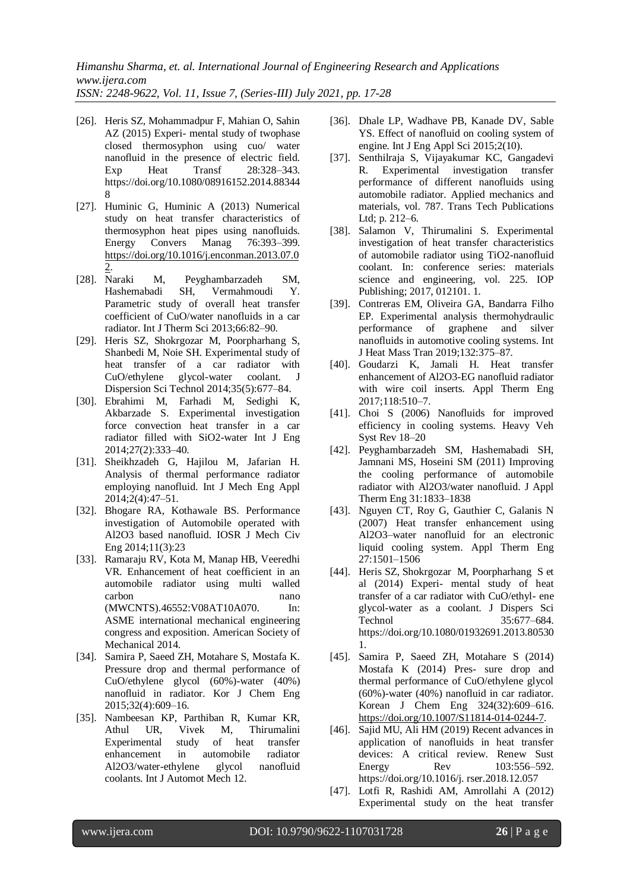*ISSN: 2248-9622, Vol. 11, Issue 7, (Series-III) July 2021, pp. 17-28*

- [26]. Heris SZ, Mohammadpur F, Mahian O, Sahin AZ (2015) Experi- mental study of twophase closed thermosyphon using cuo/ water nanofluid in the presence of electric field.<br>Exp Heat Transf 28:328-343. Exp Heat Transf 28:328–343. https://doi.org/10.1080/08916152.2014.88344 8
- [27]. Huminic G, Huminic A (2013) Numerical study on heat transfer characteristics of thermosyphon heat pipes using nanofluids. Energy Convers Manag 76:393–399. [https://doi.org/10.1016/j.enconman.2013.07.0](https://doi.org/10.1016/j.enconman.2013.07.02) [2.](https://doi.org/10.1016/j.enconman.2013.07.02)
- [28]. Naraki M, Peyghambarzadeh SM, Hashemabadi SH, Vermahmoudi Y. Parametric study of overall heat transfer coefficient of CuO/water nanofluids in a car radiator. Int J Therm Sci 2013;66:82–90.
- [29]. Heris SZ, Shokrgozar M, Poorpharhang S, Shanbedi M, Noie SH. Experimental study of heat transfer of a car radiator with CuO/ethylene glycol-water coolant. J Dispersion Sci Technol 2014;35(5):677–84.
- [30]. Ebrahimi M, Farhadi M, Sedighi K, Akbarzade S. Experimental investigation force convection heat transfer in a car radiator filled with SiO2-water Int J Eng 2014;27(2):333–40.
- [31]. Sheikhzadeh G, Hajilou M, Jafarian H. Analysis of thermal performance radiator employing nanofluid. Int J Mech Eng Appl 2014;2(4):47–51.
- [32]. Bhogare RA, Kothawale BS. Performance investigation of Automobile operated with Al2O3 based nanofluid. IOSR J Mech Civ Eng 2014;11(3):23
- [33]. Ramaraju RV, Kota M, Manap HB, Veeredhi VR. Enhancement of heat coefficient in an automobile radiator using multi walled carbon nano (MWCNTS).46552:V08AT10A070. In: ASME international mechanical engineering congress and exposition. American Society of Mechanical 2014.
- [34]. Samira P, Saeed ZH, Motahare S, Mostafa K. Pressure drop and thermal performance of CuO/ethylene glycol (60%)-water (40%) nanofluid in radiator. Kor J Chem Eng 2015;32(4):609–16.
- [35]. Nambeesan KP, Parthiban R, Kumar KR, Athul UR, Vivek M, Thirumalini Experimental study of heat transfer enhancement in automobile radiator Al2O3/water-ethylene glycol nanofluid coolants. Int J Automot Mech 12.
- [36]. Dhale LP, Wadhave PB, Kanade DV, Sable YS. Effect of nanofluid on cooling system of engine. Int J Eng Appl Sci 2015;2(10).
- [37]. Senthilraja S, Vijayakumar KC, Gangadevi R. Experimental investigation transfer performance of different nanofluids using automobile radiator. Applied mechanics and materials, vol. 787. Trans Tech Publications Ltd; p. 212–6.
- [38]. Salamon V, Thirumalini S. Experimental investigation of heat transfer characteristics of automobile radiator using TiO2-nanofluid coolant. In: conference series: materials science and engineering, vol. 225. IOP Publishing; 2017, 012101. 1.
- [39]. Contreras EM, Oliveira GA, Bandarra Filho EP. Experimental analysis thermohydraulic performance of graphene and silver nanofluids in automotive cooling systems. Int J Heat Mass Tran 2019;132:375–87.
- [40]. Goudarzi K, Jamali H. Heat transfer enhancement of Al2O3-EG nanofluid radiator with wire coil inserts. Appl Therm Eng 2017;118:510–7.
- [41]. Choi S (2006) Nanofluids for improved efficiency in cooling systems. Heavy Veh Syst Rev 18–20
- [42]. Peyghambarzadeh SM, Hashemabadi SH, Jamnani MS, Hoseini SM (2011) Improving the cooling performance of automobile radiator with Al2O3/water nanofluid. J Appl Therm Eng 31:1833–1838
- [43]. Nguyen CT, Roy G, Gauthier C, Galanis N (2007) Heat transfer enhancement using Al2O3–water nanofluid for an electronic liquid cooling system. Appl Therm Eng 27:1501–1506
- [44]. Heris SZ, Shokrgozar M, Poorpharhang S et al (2014) Experi- mental study of heat transfer of a car radiator with CuO/ethyl- ene glycol-water as a coolant. J Dispers Sci Technol 35:677–684. https://doi.org/10.1080/01932691.2013.80530 1.
- [45]. Samira P, Saeed ZH, Motahare S (2014) Mostafa K (2014) Pres- sure drop and thermal performance of CuO/ethylene glycol (60%)-water (40%) nanofluid in car radiator. Korean J Chem Eng 324(32):609–616. [https://doi.org/10.1007/S11814-014-0244-7.](https://doi.org/10.1007/S11814-014-0244-7)
- [46]. Sajid MU, Ali HM (2019) Recent advances in application of nanofluids in heat transfer devices: A critical review. Renew Sust Energy Rev 103:556–592. https://doi.org/10.1016/j. rser.2018.12.057
- [47]. Lotfi R, Rashidi AM, Amrollahi A (2012) Experimental study on the heat transfer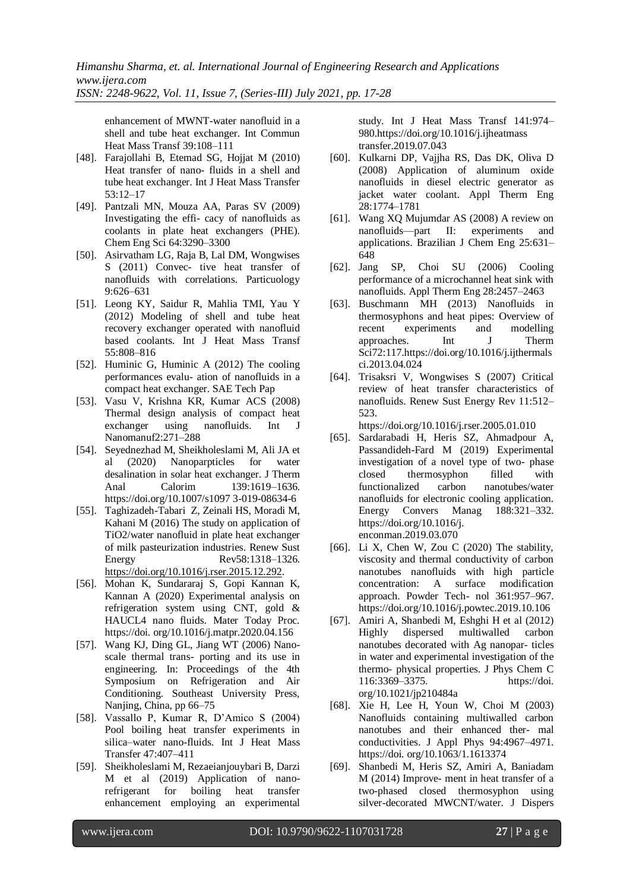*ISSN: 2248-9622, Vol. 11, Issue 7, (Series-III) July 2021, pp. 17-28*

enhancement of MWNT-water nanofluid in a shell and tube heat exchanger. Int Commun Heat Mass Transf 39:108–111

- [48]. Farajollahi B, Etemad SG, Hojjat M (2010) Heat transfer of nano- fluids in a shell and tube heat exchanger. Int J Heat Mass Transfer 53:12–17
- [49]. Pantzali MN, Mouza AA, Paras SV (2009) Investigating the effi- cacy of nanofluids as coolants in plate heat exchangers (PHE). Chem Eng Sci 64:3290–3300
- [50]. Asirvatham LG, Raja B, Lal DM, Wongwises S (2011) Convec- tive heat transfer of nanofluids with correlations. Particuology 9:626–631
- [51]. Leong KY, Saidur R, Mahlia TMI, Yau Y (2012) Modeling of shell and tube heat recovery exchanger operated with nanofluid based coolants. Int J Heat Mass Transf 55:808–816
- [52]. Huminic G, Huminic A (2012) The cooling performances evalu- ation of nanofluids in a compact heat exchanger. SAE Tech Pap
- [53]. Vasu V, Krishna KR, Kumar ACS (2008) Thermal design analysis of compact heat exchanger using nanofluids. Int J Nanomanuf2:271–288
- [54]. Seyednezhad M, Sheikholeslami M, Ali JA et al (2020) Nanoparpticles for water desalination in solar heat exchanger. J Therm Anal Calorim 139:1619–1636. https://doi.org/10.1007/s1097 3-019-08634-6
- [55]. Taghizadeh-Tabari Z, Zeinali HS, Moradi M, Kahani M (2016) The study on application of TiO2/water nanofluid in plate heat exchanger of milk pasteurization industries. Renew Sust Energy Rev58:1318–1326. [https://doi.org/10.1016/j.rser.2015.12.292.](https://doi.org/10.1016/j.rser.2015.12.292)
- [56]. Mohan K, Sundararaj S, Gopi Kannan K, Kannan A (2020) Experimental analysis on refrigeration system using CNT, gold & HAUCL4 nano fluids. Mater Today Proc. https://doi. org/10.1016/j.matpr.2020.04.156
- [57]. Wang KJ, Ding GL, Jiang WT (2006) Nanoscale thermal trans- porting and its use in engineering. In: Proceedings of the 4th Symposium on Refrigeration and Air Conditioning. Southeast University Press, Nanjing, China, pp 66–75
- [58]. Vassallo P, Kumar R, D'Amico S (2004) Pool boiling heat transfer experiments in silica–water nano-fluids. Int J Heat Mass Transfer 47:407–411
- [59]. Sheikholeslami M, Rezaeianjouybari B, Darzi M et al (2019) Application of nanorefrigerant for boiling heat transfer enhancement employing an experimental

study. Int J Heat Mass Transf 141:974– 980.https://doi.org/10.1016/j.ijheatmass transfer.2019.07.043

- [60]. Kulkarni DP, Vajjha RS, Das DK, Oliva D (2008) Application of aluminum oxide nanofluids in diesel electric generator as jacket water coolant. Appl Therm Eng 28:1774–1781
- [61]. Wang XQ Mujumdar AS (2008) A review on nanofluids—part II: experiments and applications. Brazilian J Chem Eng 25:631– 648
- [62]. Jang SP, Choi SU (2006) Cooling performance of a microchannel heat sink with nanofluids. Appl Therm Eng 28:2457–2463
- [63]. Buschmann MH (2013) Nanofluids in thermosyphons and heat pipes: Overview of recent experiments and modelling approaches. Int J Therm Sci72:117.https://doi.org/10.1016/j.ijthermals ci.2013.04.024
- [64]. Trisaksri V, Wongwises S (2007) Critical review of heat transfer characteristics of nanofluids. Renew Sust Energy Rev 11:512– 523.

https://doi.org/10.1016/j.rser.2005.01.010

- [65]. Sardarabadi H, Heris SZ, Ahmadpour A, Passandideh-Fard M (2019) Experimental investigation of a novel type of two- phase closed thermosyphon filled with functionalized carbon nanotubes/water nanofluids for electronic cooling application. Energy Convers Manag 188:321–332. https://doi.org/10.1016/j. enconman.2019.03.070
- [66]. Li X, Chen W, Zou C (2020) The stability, viscosity and thermal conductivity of carbon nanotubes nanofluids with high particle concentration: A surface modification approach. Powder Tech- nol 361:957–967. https://doi.org/10.1016/j.powtec.2019.10.106
- [67]. Amiri A, Shanbedi M, Eshghi H et al (2012) Highly dispersed multiwalled carbon nanotubes decorated with Ag nanopar- ticles in water and experimental investigation of the thermo- physical properties. J Phys Chem C 116:3369–3375. https://doi. org/10.1021/jp210484a
- [68]. Xie H, Lee H, Youn W, Choi M (2003) Nanofluids containing multiwalled carbon nanotubes and their enhanced ther- mal conductivities. J Appl Phys 94:4967–4971. https://doi. org/10.1063/1.1613374
- [69]. Shanbedi M, Heris SZ, Amiri A, Baniadam M (2014) Improve- ment in heat transfer of a two-phased closed thermosyphon using silver-decorated MWCNT/water. J Dispers